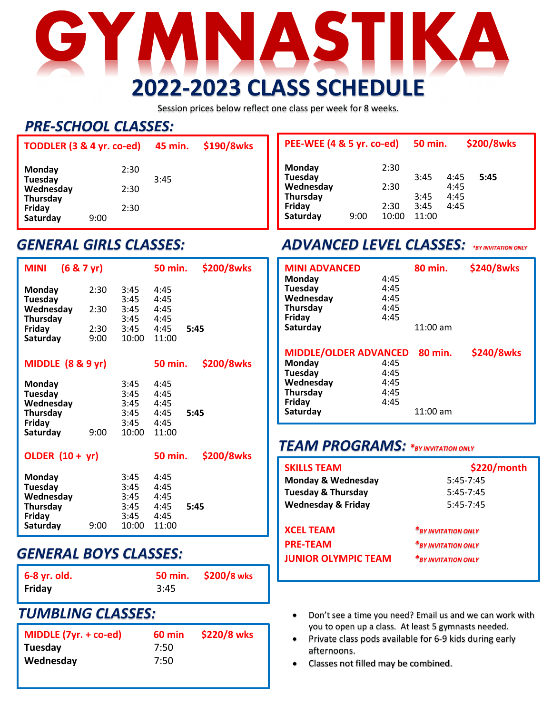# **GYMNASTIKA 2022-2023 CLASS SCHEDULE**

Session prices below reflect one class per week for 8 weeks.

### *PRE-SCHOOL CLASSES:*

| TODDLER (3 & 4 yr. co-ed) |      | 45 min. | \$190/8wks |  |
|---------------------------|------|---------|------------|--|
| <b>Monday</b><br>Tuesday  |      | 2:30    | 3:45       |  |
| Wednesday<br>Thursday     |      | 2:30    |            |  |
| Friday<br>Saturday        | 9:00 | 2:30    |            |  |

| (6 & 7yr)<br><b>MINI</b>                                                       |                              |                                               | <b>50 min.</b>                                | \$200/8wks |
|--------------------------------------------------------------------------------|------------------------------|-----------------------------------------------|-----------------------------------------------|------------|
| Monday<br>Tuesday<br>Wednesday<br>Thursday<br>Friday<br>Saturday               | 2:30<br>2:30<br>2:30<br>9:00 | 3:45<br>3:45<br>3:45<br>3:45<br>3:45<br>10:00 | 4:45<br>4:45<br>4:45<br>4:45<br>4:45<br>11:00 | 5:45       |
| MIDDLE $(8 & 9yr)$                                                             |                              |                                               | <b>50 min.</b>                                | \$200/8wks |
| Monday<br>Tuesday<br>Wednesday<br>Thursday<br>Friday<br>Saturday               | 9:00                         | 3:45<br>3:45<br>3:45<br>3:45<br>3:45<br>10:00 | 4:45<br>4:45<br>4:45<br>4:45<br>4:45<br>11:00 | 5:45       |
| OLDER $(10 + yr)$                                                              |                              |                                               | <b>50 min.</b>                                | \$200/8wks |
| Monday<br>Tuesday<br>Wednesday<br><b>Thursday</b><br><b>Friday</b><br>Saturday | 9:00                         | 3:45<br>3:45<br>3:45<br>3:45<br>3:45<br>10:00 | 4:45<br>4:45<br>4:45<br>4:45<br>4:45<br>11:00 | 5:45       |

#### *GENERAL BOYS CLASSES:*

| 6-8 yr. old. |      | 50 min. \$200/8 wks |
|--------------|------|---------------------|
| Friday       | 3:45 |                     |

#### *TUMBLING CLASSES:*

| MIDDLE $(7yr. + co-ed)$ | 60 min | \$220/8 wks |
|-------------------------|--------|-------------|
| Tuesday                 | 7:50   |             |
| Wednesday               | 7:50   |             |

#### **PEE-WEE (4 & 5 yr. co-ed) 50 min. \$200/8wks Monday** 2:30 **Tuesday** 3:45 4:45 **5:45 Wednesday** 2:30 4:45 **Thursday** 3:45 4:45 **Friday Saturday** 9:00 10:00 11:00

#### *GENERAL GIRLS CLASSES: ADVANCED LEVEL CLASSES: \*BY INVITATION ONLY*

| <b>MINI ADVANCED</b><br><b>Monday</b><br>Tuesday<br>Wednesday<br><b>Thursday</b><br>Friday<br>Saturday  | 4:45<br>4:45<br>4:45<br>4:45<br>4:45 | 80 min.<br>$11:00$ am | \$240/8wks |
|---------------------------------------------------------------------------------------------------------|--------------------------------------|-----------------------|------------|
| <b>MIDDLE/OLDER ADVANCED</b><br>Monday<br>Tuesday<br>Wednesday<br><b>Thursday</b><br>Friday<br>Saturday | 4:45<br>4:45<br>4:45<br>4:45<br>4:45 | 80 min.<br>$11:00$ am | \$240/8wks |

#### *TEAM PROGRAMS: \*BY INVITATION ONLY*

| <b>SKILLS TEAM</b>            | \$220/month         |
|-------------------------------|---------------------|
| <b>Monday &amp; Wednesday</b> | $5:45 - 7:45$       |
| <b>Tuesday &amp; Thursday</b> | $5:45 - 7:45$       |
| <b>Wednesday &amp; Friday</b> | $5:45 - 7:45$       |
|                               |                     |
| <b>XCEL TEAM</b>              | *BY INVITATION ONLY |
| <b>PRE-TEAM</b>               | *BY INVITATION ONLY |
| <b>JUNIOR OLYMPIC TEAM</b>    | *BY INVITATION ONLY |
|                               |                     |

- Don't see a time you need? Email us and we can work with you to open up a class. At least 5 gymnasts needed.
- Private class pods available for 6-9 kids during early afternoons.
- Classes not filled may be combined.